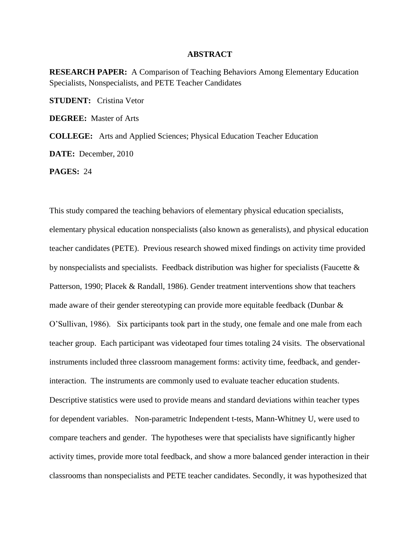## **ABSTRACT**

**RESEARCH PAPER:** A Comparison of Teaching Behaviors Among Elementary Education Specialists, Nonspecialists, and PETE Teacher Candidates

**STUDENT:** Cristina Vetor

**DEGREE:** Master of Arts

**COLLEGE:** Arts and Applied Sciences; Physical Education Teacher Education

**DATE:** December, 2010

**PAGES:** 24

This study compared the teaching behaviors of elementary physical education specialists, elementary physical education nonspecialists (also known as generalists), and physical education teacher candidates (PETE). Previous research showed mixed findings on activity time provided by nonspecialists and specialists. Feedback distribution was higher for specialists (Faucette & Patterson, 1990; Placek & Randall, 1986). Gender treatment interventions show that teachers made aware of their gender stereotyping can provide more equitable feedback (Dunbar & O'Sullivan, 1986). Six participants took part in the study, one female and one male from each teacher group. Each participant was videotaped four times totaling 24 visits. The observational instruments included three classroom management forms: activity time, feedback, and genderinteraction. The instruments are commonly used to evaluate teacher education students. Descriptive statistics were used to provide means and standard deviations within teacher types for dependent variables. Non-parametric Independent t-tests, Mann-Whitney U, were used to compare teachers and gender. The hypotheses were that specialists have significantly higher activity times, provide more total feedback, and show a more balanced gender interaction in their classrooms than nonspecialists and PETE teacher candidates. Secondly, it was hypothesized that